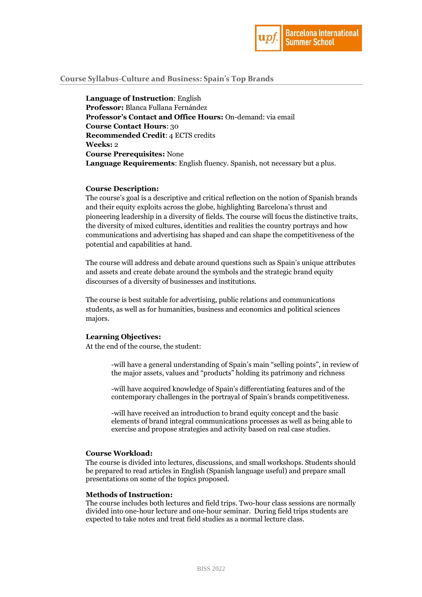

# **Course Syllabus-Culture and Business: Spain's Top Brands**

**Language of Instruction**: English **Professor:** Blanca Fullana Fernández **Professor's Contact and Office Hours:** On-demand: via email **Course Contact Hours**: 30 **Recommended Credit**: 4 ECTS credits **Weeks:** 2 **Course Prerequisites:** None **Language Requirements**: English fluency. Spanish, not necessary but a plus.

#### **Course Description:**

The course's goal is a descriptive and critical reflection on the notion of Spanish brands and their equity exploits across the globe, highlighting Barcelona's thrust and pioneering leadership in a diversity of fields. The course will focus the distinctive traits, the diversity of mixed cultures, identities and realities the country portrays and how communications and advertising has shaped and can shape the competitiveness of the potential and capabilities at hand.

The course will address and debate around questions such as Spain's unique attributes and assets and create debate around the symbols and the strategic brand equity discourses of a diversity of businesses and institutions.

The course is best suitable for advertising, public relations and communications students, as well as for humanities, business and economics and political sciences majors.

## **Learning Objectives:**

At the end of the course, the student:

-will have a general understanding of Spain's main "selling points", in review of the major assets, values and "products" holding its patrimony and richness

-will have acquired knowledge of Spain's differentiating features and of the contemporary challenges in the portrayal of Spain's brands competitiveness.

-will have received an introduction to brand equity concept and the basic elements of brand integral communications processes as well as being able to exercise and propose strategies and activity based on real case studies.

#### **Course Workload:**

The course is divided into lectures, discussions, and small workshops. Students should be prepared to read articles in English (Spanish language useful) and prepare small presentations on some of the topics proposed.

#### **Methods of Instruction:**

The course includes both lectures and field trips. Two-hour class sessions are normally divided into one-hour lecture and one-hour seminar. During field trips students are expected to take notes and treat field studies as a normal lecture class.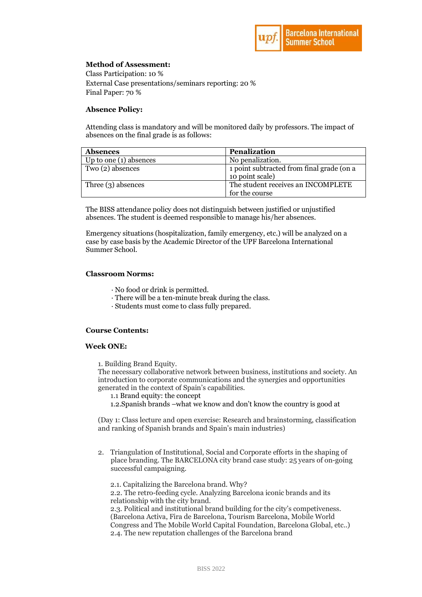

# **Method of Assessment:**

Class Participation: 10 % External Case presentations/seminars reporting: 20 % Final Paper: 70 %

## **Absence Policy:**

Attending class is mandatory and will be monitored daily by professors. The impact of absences on the final grade is as follows:

| <b>Absences</b>          | <b>Penalization</b>                                          |
|--------------------------|--------------------------------------------------------------|
| Up to one $(1)$ absences | No penalization.                                             |
| Two (2) absences         | 1 point subtracted from final grade (on a<br>10 point scale) |
| Three $(3)$ absences     | The student receives an INCOMPLETE                           |
|                          | for the course                                               |

The BISS attendance policy does not distinguish between justified or unjustified absences. The student is deemed responsible to manage his/her absences.

Emergency situations (hospitalization, family emergency, etc.) will be analyzed on a case by case basis by the Academic Director of the UPF Barcelona International Summer School.

### **Classroom Norms:**

- · No food or drink is permitted.
- · There will be a ten-minute break during the class.
- · Students must come to class fully prepared.

### **Course Contents:**

#### **Week ONE:**

1. Building Brand Equity.

The necessary collaborative network between business, institutions and society. An introduction to corporate communications and the synergies and opportunities generated in the context of Spain's capabilities.

1.1 Brand equity: the concept

1.2.Spanish brands –what we know and don't know the country is good at

(Day 1: Class lecture and open exercise: Research and brainstorming, classification and ranking of Spanish brands and Spain's main industries)

2. Triangulation of Institutional, Social and Corporate efforts in the shaping of place branding. The BARCELONA city brand case study: 25 years of on-going successful campaigning.

2.1. Capitalizing the Barcelona brand. Why? 2.2. The retro-feeding cycle. Analyzing Barcelona iconic brands and its relationship with the city brand. 2.3. Political and institutional brand building for the city's competiveness. (Barcelona Activa, Fira de Barcelona, Tourism Barcelona, Mobile World Congress and The Mobile World Capital Foundation, Barcelona Global, etc..) 2.4. The new reputation challenges of the Barcelona brand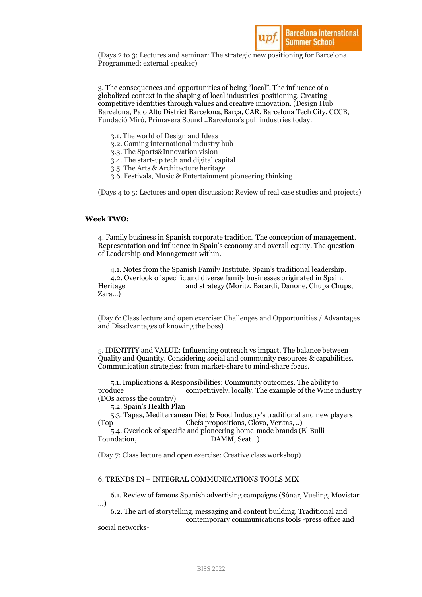

(Days 2 to 3: Lectures and seminar: The strategic new positioning for Barcelona. Programmed: external speaker)

3. The consequences and opportunities of being "local". The influence of a globalized context in the shaping of local industries' positioning. Creating competitive identities through values and creative innovation. (Design Hub Barcelona, Palo Alto District Barcelona, Barça, CAR, Barcelona Tech City, CCCB, Fundació Miró, Primavera Sound ..Barcelona's pull industries today.

- 3.1. The world of Design and Ideas
- 3.2. Gaming international industry hub
- 3.3. The Sports&Innovation vision
- 3.4. The start-up tech and digital capital
- 3.5. The Arts & Architecture heritage
- 3.6. Festivals, Music & Entertainment pioneering thinking

(Days 4 to 5: Lectures and open discussion: Review of real case studies and projects)

### **Week TWO:**

4. Family business in Spanish corporate tradition. The conception of management. Representation and influence in Spain's economy and overall equity. The question of Leadership and Management within.

4.1. Notes from the Spanish Family Institute. Spain's traditional leadership. 4.2. Overlook of specific and diverse family businesses originated in Spain. Heritage and strategy (Moritz, Bacardi, Danone, Chupa Chups, Zara…)

(Day 6: Class lecture and open exercise: Challenges and Opportunities / Advantages and Disadvantages of knowing the boss)

5. IDENTITY and VALUE: Influencing outreach vs impact. The balance between Quality and Quantity. Considering social and community resources & capabilities. Communication strategies: from market-share to mind-share focus.

5.1. Implications & Responsibilities: Community outcomes. The ability to produce competitively, locally. The example of the Wine industry (DOs across the country)

5.2. Spain's Health Plan

5.3. Tapas, Mediterranean Diet & Food Industry's traditional and new players (Top Chefs propositions, Glovo, Veritas, ..)

5.4. Overlook of specific and pioneering home-made brands (El Bulli Foundation, DAMM, Seat...)

(Day 7: Class lecture and open exercise: Creative class workshop)

#### 6. TRENDS IN – INTEGRAL COMMUNICATIONS TOOLS MIX

6.1. Review of famous Spanish advertising campaigns (Sónar, Vueling, Movistar …)

6.2. The art of storytelling, messaging and content building. Traditional and contemporary communications tools -press office and

social networks-